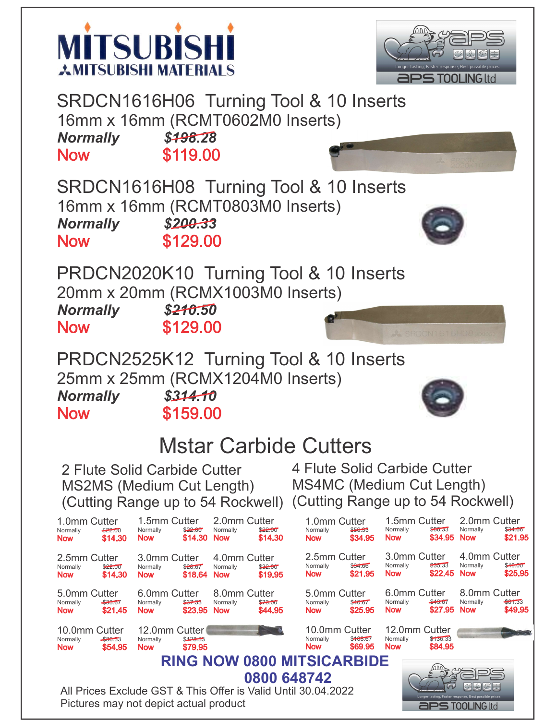



SRDCN1616H06 Turning Tool & 10 Inserts 16mm x 16mm (RCMT0602M0 Inserts) Normally \$498.28<br>Now \$119.00 **Now** 

SRDCN1616H08 Turning Tool & 10 Inserts 16mm x 16mm (RCMT0803M0 Inserts) Normally \$200.33 **Now** \$129.00



PRDCN2020K10 Turning Tool & 10 Inserts 20mm x 20mm (RCMX1003M0 Inserts) Normally \$210.50

**Now** 

\$129.00



PRDCN2525K12 Turning Tool & 10 Inserts 25mm x 25mm (RCMX1204M0 Inserts) Normally \$314.10

**Now** 

\$159.00



**aPS TOOLING ltd** 

## Mstar Carbide Cutters

2 Flute Solid Carbide Cutter MS2MS (Medium Cut Length) (Cutting Range up to 54 Rockwell) (Cutting Range up to 54 Rockwell) 4 Flute Solid Carbide Cutter MS4MC (Medium Cut Length)



Pictures may not depict actual product